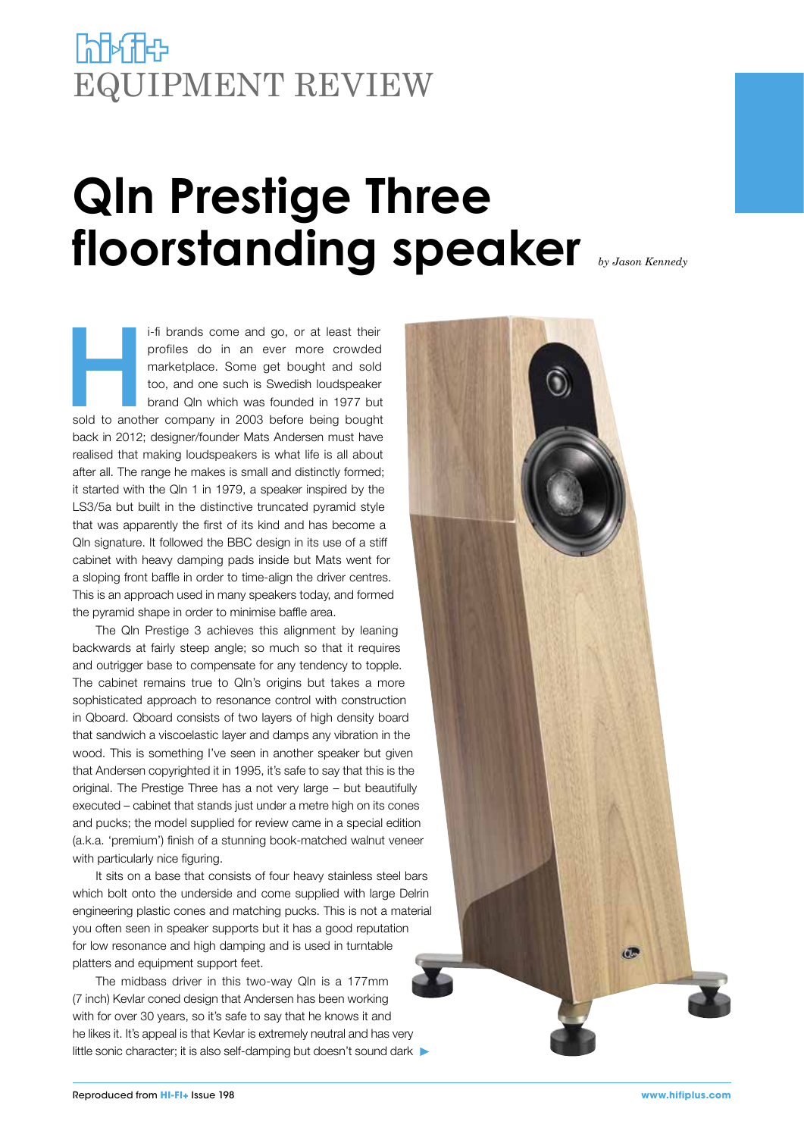## **Port Adam** EQUIPMENT REVIEW

# **Qln Prestige Three floorstanding speaker** *by Jason Kennedy*

i-fi brands come and go, or at least their<br>profiles do in an ever more crowded<br>marketplace. Some get bought and sold<br>too, and one such is Swedish loudspeaker<br>brand Qln which was founded in 1977 but<br>sold to another company profiles do in an ever more crowded marketplace. Some get bought and sold too, and one such is Swedish loudspeaker brand Qln which was founded in 1977 but back in 2012; designer/founder Mats Andersen must have realised that making loudspeakers is what life is all about after all. The range he makes is small and distinctly formed; it started with the Qln 1 in 1979, a speaker inspired by the LS3/5a but built in the distinctive truncated pyramid style that was apparently the first of its kind and has become a Qln signature. It followed the BBC design in its use of a stiff cabinet with heavy damping pads inside but Mats went for a sloping front baffle in order to time-align the driver centres. This is an approach used in many speakers today, and formed the pyramid shape in order to minimise baffle area.

The Qln Prestige 3 achieves this alignment by leaning backwards at fairly steep angle; so much so that it requires and outrigger base to compensate for any tendency to topple. The cabinet remains true to Qln's origins but takes a more sophisticated approach to resonance control with construction in Qboard. Qboard consists of two layers of high density board that sandwich a viscoelastic layer and damps any vibration in the wood. This is something I've seen in another speaker but given that Andersen copyrighted it in 1995, it's safe to say that this is the original. The Prestige Three has a not very large – but beautifully executed – cabinet that stands just under a metre high on its cones and pucks; the model supplied for review came in a special edition (a.k.a. 'premium') finish of a stunning book-matched walnut veneer with particularly nice figuring.

It sits on a base that consists of four heavy stainless steel bars which bolt onto the underside and come supplied with large Delrin engineering plastic cones and matching pucks. This is not a material you often seen in speaker supports but it has a good reputation for low resonance and high damping and is used in turntable platters and equipment support feet.

The midbass driver in this two-way Qln is a 177mm (7 inch) Kevlar coned design that Andersen has been working with for over 30 years, so it's safe to say that he knows it and he likes it. It's appeal is that Kevlar is extremely neutral and has very little sonic character; it is also self-damping but doesn't sound dark

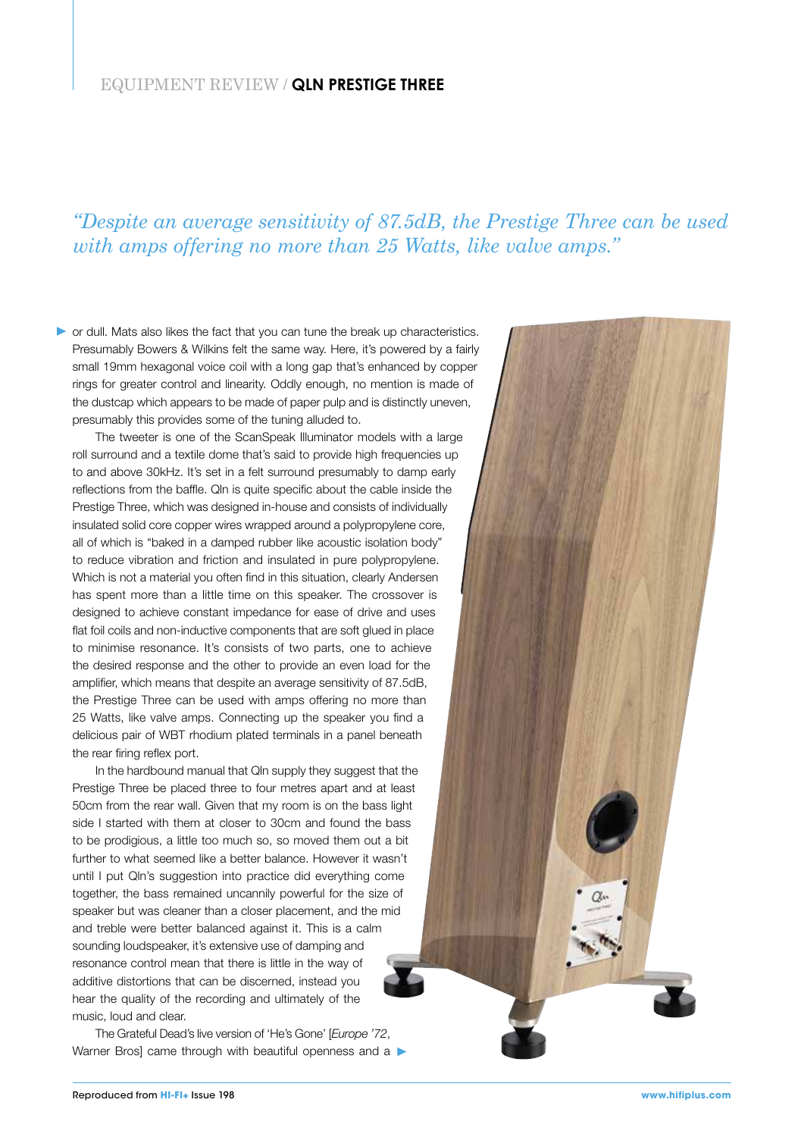#### *"Despite an average sensitivity of 87.5dB, the Prestige Three can be used with amps offering no more than 25 Watts, like valve amps."*

or dull. Mats also likes the fact that you can tune the break up characteristics. Presumably Bowers & Wilkins felt the same way. Here, it's powered by a fairly small 19mm hexagonal voice coil with a long gap that's enhanced by copper rings for greater control and linearity. Oddly enough, no mention is made of the dustcap which appears to be made of paper pulp and is distinctly uneven, presumably this provides some of the tuning alluded to.

The tweeter is one of the ScanSpeak Illuminator models with a large roll surround and a textile dome that's said to provide high frequencies up to and above 30kHz. It's set in a felt surround presumably to damp early reflections from the baffle. Qln is quite specific about the cable inside the Prestige Three, which was designed in-house and consists of individually insulated solid core copper wires wrapped around a polypropylene core, all of which is "baked in a damped rubber like acoustic isolation body" to reduce vibration and friction and insulated in pure polypropylene. Which is not a material you often find in this situation, clearly Andersen has spent more than a little time on this speaker. The crossover is designed to achieve constant impedance for ease of drive and uses flat foil coils and non-inductive components that are soft glued in place to minimise resonance. It's consists of two parts, one to achieve the desired response and the other to provide an even load for the amplifier, which means that despite an average sensitivity of 87.5dB, the Prestige Three can be used with amps offering no more than 25 Watts, like valve amps. Connecting up the speaker you find a delicious pair of WBT rhodium plated terminals in a panel beneath the rear firing reflex port.

In the hardbound manual that Qln supply they suggest that the Prestige Three be placed three to four metres apart and at least 50cm from the rear wall. Given that my room is on the bass light side I started with them at closer to 30cm and found the bass to be prodigious, a little too much so, so moved them out a bit further to what seemed like a better balance. However it wasn't until I put Qln's suggestion into practice did everything come together, the bass remained uncannily powerful for the size of speaker but was cleaner than a closer placement, and the mid and treble were better balanced against it. This is a calm sounding loudspeaker, it's extensive use of damping and resonance control mean that there is little in the way of additive distortions that can be discerned, instead you hear the quality of the recording and ultimately of the music, loud and clear.

The Grateful Dead's live version of 'He's Gone' [*Europe '72*, Warner Bros] came through with beautiful openness and a